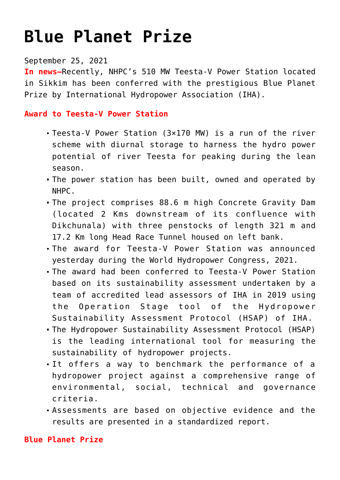# **[Blue Planet Prize](https://journalsofindia.com/blue-planet-prize/)**

# September 25, 2021

**In news–**Recently, NHPC's 510 MW Teesta-V Power Station located in Sikkim has been conferred with the prestigious Blue Planet Prize by International Hydropower Association (IHA).

## **Award to Teesta-V Power Station**

- Teesta-V Power Station (3×170 MW) is a run of the river scheme with diurnal storage to harness the hydro power potential of river Teesta for peaking during the lean season.
- The power station has been built, owned and operated by NHPC.
- The project comprises 88.6 m high Concrete Gravity Dam (located 2 Kms downstream of its confluence with Dikchunala) with three penstocks of length 321 m and 17.2 Km long Head Race Tunnel housed on left bank.
- The award for Teesta-V Power Station was announced yesterday during the World Hydropower Congress, 2021.
- The award had been conferred to Teesta-V Power Station based on its sustainability assessment undertaken by a team of accredited lead assessors of IHA in 2019 using the Operation Stage tool of the Hydropower Sustainability Assessment Protocol (HSAP) of IHA.
- The Hydropower Sustainability Assessment Protocol (HSAP) is the leading international tool for measuring the sustainability of hydropower projects.
- It offers a way to benchmark the performance of a hydropower project against a comprehensive range of environmental, social, technical and governance criteria.
- Assessments are based on objective evidence and the results are presented in a standardized report.

**Blue Planet Prize**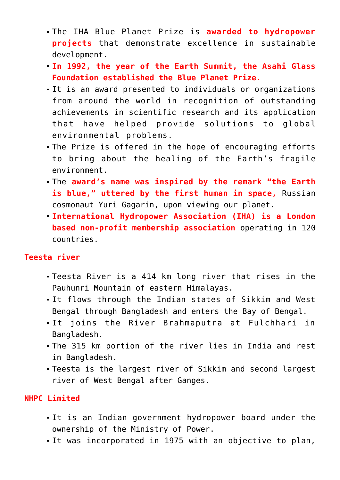- The IHA Blue Planet Prize is **awarded to hydropower projects** that demonstrate excellence in sustainable development.
- **In 1992, the year of the Earth Summit, the Asahi Glass Foundation established the Blue Planet Prize.**
- It is an award presented to individuals or organizations from around the world in recognition of outstanding achievements in scientific research and its application that have helped provide solutions to global environmental problems.
- The Prize is offered in the hope of encouraging efforts to bring about the healing of the Earth's fragile environment.
- The **award's name was inspired by the remark "the Earth is blue," uttered by the first human in space,** Russian cosmonaut Yuri Gagarin, upon viewing our planet.
- **International Hydropower Association (IHA) is a London based non-profit membership association** operating in 120 countries.

#### **Teesta river**

- Teesta River is a 414 km long river that rises in the Pauhunri Mountain of eastern Himalayas.
- It flows through the Indian states of Sikkim and West Bengal through Bangladesh and enters the Bay of Bengal.
- It joins the River Brahmaputra at Fulchhari in Bangladesh.
- The 315 km portion of the river lies in India and rest in Bangladesh.
- Teesta is the largest river of Sikkim and second largest river of West Bengal after Ganges.

### **NHPC Limited**

- It is an Indian government hydropower board under the ownership of the Ministry of Power.
- It was incorporated in 1975 with an objective to plan,